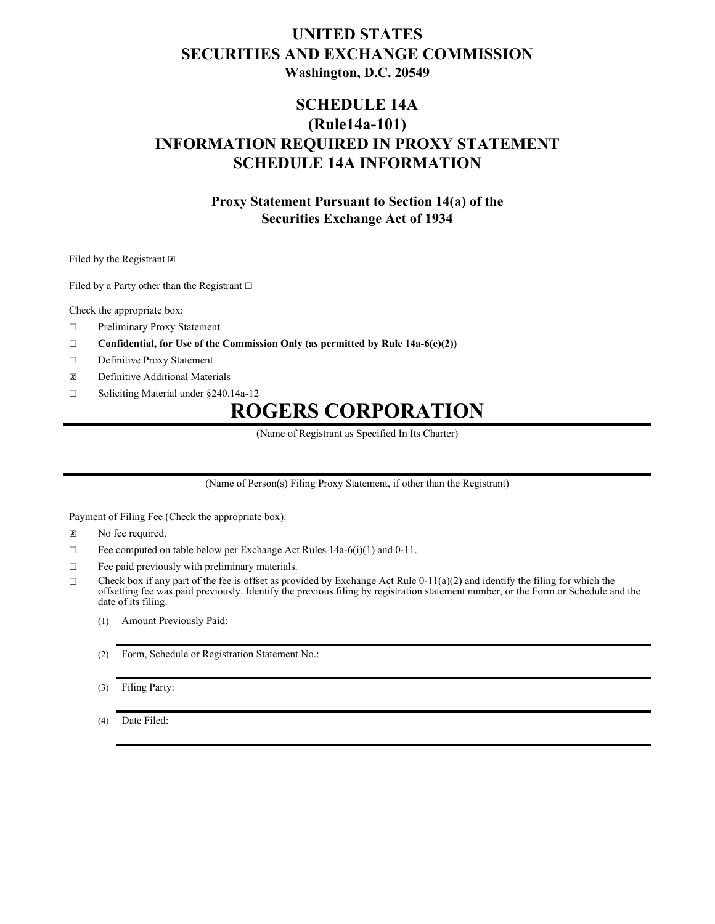## **UNITED STATES SECURITIES AND EXCHANGE COMMISSION Washington, D.C. 20549**

## **SCHEDULE 14A (Rule14a-101) INFORMATION REQUIRED IN PROXY STATEMENT SCHEDULE 14A INFORMATION**

### **Proxy Statement Pursuant to Section 14(a) of the Securities Exchange Act of 1934**

Filed by the Registrant  $\boxtimes$ 

Filed by a Party other than the Registrant □

Check the appropriate box:

- ☐ Preliminary Proxy Statement
- ☐ **Confidential, for Use of the Commission Only (as permitted by Rule 14a-6(e)(2))**
- ☐ Definitive Proxy Statement
- ☒ Definitive Additional Materials
- ☐ Soliciting Material under §240.14a-12

# **ROGERS CORPORATION**

(Name of Registrant as Specified In Its Charter)

(Name of Person(s) Filing Proxy Statement, if other than the Registrant)

Payment of Filing Fee (Check the appropriate box):

- ☒ No fee required.
- $\Box$  Fee computed on table below per Exchange Act Rules 14a-6(i)(1) and 0-11.
- $\Box$  Fee paid previously with preliminary materials.
- $\Box$  Check box if any part of the fee is offset as provided by Exchange Act Rule 0-11(a)(2) and identify the filing for which the offsetting fee was paid previously. Identify the previous filing by registration statement number, or the Form or Schedule and the date of its filing.
	- (1) Amount Previously Paid:
	- (2) Form, Schedule or Registration Statement No.:

(3) Filing Party:

(4) Date Filed: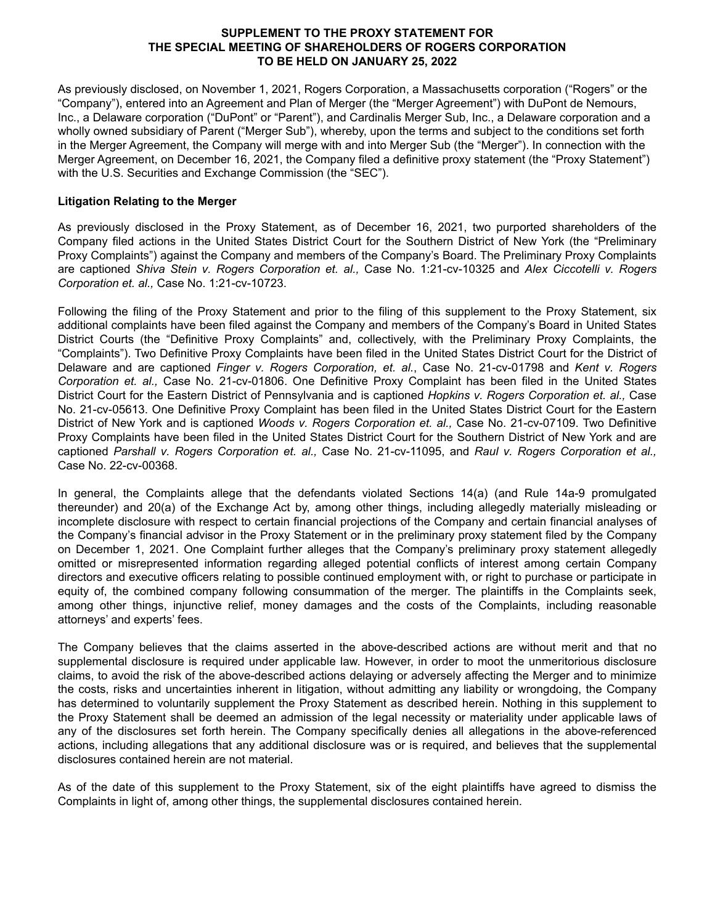#### **SUPPLEMENT TO THE PROXY STATEMENT FOR THE SPECIAL MEETING OF SHAREHOLDERS OF ROGERS CORPORATION TO BE HELD ON JANUARY 25, 2022**

As previously disclosed, on November 1, 2021, Rogers Corporation, a Massachusetts corporation ("Rogers" or the "Company"), entered into an Agreement and Plan of Merger (the "Merger Agreement") with DuPont de Nemours, Inc., a Delaware corporation ("DuPont" or "Parent"), and Cardinalis Merger Sub, Inc., a Delaware corporation and a wholly owned subsidiary of Parent ("Merger Sub"), whereby, upon the terms and subject to the conditions set forth in the Merger Agreement, the Company will merge with and into Merger Sub (the "Merger"). In connection with the Merger Agreement, on December 16, 2021, the Company filed a definitive proxy statement (the "Proxy Statement") with the U.S. Securities and Exchange Commission (the "SEC").

#### **Litigation Relating to the Merger**

As previously disclosed in the Proxy Statement, as of December 16, 2021, two purported shareholders of the Company filed actions in the United States District Court for the Southern District of New York (the "Preliminary Proxy Complaints") against the Company and members of the Company's Board. The Preliminary Proxy Complaints are captioned *Shiva Stein v. Rogers Corporation et. al.,* Case No. 1:21-cv-10325 and *Alex Ciccotelli v. Rogers Corporation et. al.,* Case No. 1:21-cv-10723.

Following the filing of the Proxy Statement and prior to the filing of this supplement to the Proxy Statement, six additional complaints have been filed against the Company and members of the Company's Board in United States District Courts (the "Definitive Proxy Complaints" and, collectively, with the Preliminary Proxy Complaints, the "Complaints"). Two Definitive Proxy Complaints have been filed in the United States District Court for the District of Delaware and are captioned *Finger v. Rogers Corporation, et. al.*, Case No. 21-cv-01798 and *Kent v. Rogers Corporation et. al.,* Case No. 21-cv-01806. One Definitive Proxy Complaint has been filed in the United States District Court for the Eastern District of Pennsylvania and is captioned *Hopkins v. Rogers Corporation et. al.,* Case No. 21-cv-05613. One Definitive Proxy Complaint has been filed in the United States District Court for the Eastern District of New York and is captioned *Woods v. Rogers Corporation et. al.,* Case No. 21-cv-07109. Two Definitive Proxy Complaints have been filed in the United States District Court for the Southern District of New York and are captioned *Parshall v. Rogers Corporation et. al.,* Case No. 21-cv-11095, and *Raul v. Rogers Corporation et al.,*  Case No. 22-cv-00368.

In general, the Complaints allege that the defendants violated Sections 14(a) (and Rule 14a-9 promulgated thereunder) and 20(a) of the Exchange Act by, among other things, including allegedly materially misleading or incomplete disclosure with respect to certain financial projections of the Company and certain financial analyses of the Company's financial advisor in the Proxy Statement or in the preliminary proxy statement filed by the Company on December 1, 2021. One Complaint further alleges that the Company's preliminary proxy statement allegedly omitted or misrepresented information regarding alleged potential conflicts of interest among certain Company directors and executive officers relating to possible continued employment with, or right to purchase or participate in equity of, the combined company following consummation of the merger. The plaintiffs in the Complaints seek, among other things, injunctive relief, money damages and the costs of the Complaints, including reasonable attorneys' and experts' fees.

The Company believes that the claims asserted in the above-described actions are without merit and that no supplemental disclosure is required under applicable law. However, in order to moot the unmeritorious disclosure claims, to avoid the risk of the above-described actions delaying or adversely affecting the Merger and to minimize the costs, risks and uncertainties inherent in litigation, without admitting any liability or wrongdoing, the Company has determined to voluntarily supplement the Proxy Statement as described herein. Nothing in this supplement to the Proxy Statement shall be deemed an admission of the legal necessity or materiality under applicable laws of any of the disclosures set forth herein. The Company specifically denies all allegations in the above-referenced actions, including allegations that any additional disclosure was or is required, and believes that the supplemental disclosures contained herein are not material.

As of the date of this supplement to the Proxy Statement, six of the eight plaintiffs have agreed to dismiss the Complaints in light of, among other things, the supplemental disclosures contained herein.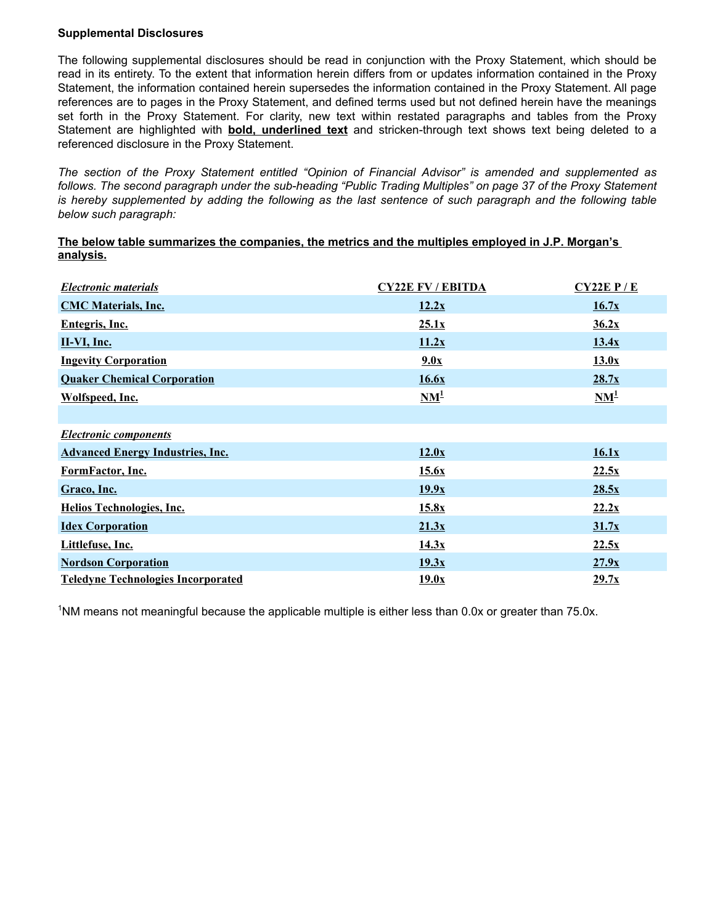#### **Supplemental Disclosures**

The following supplemental disclosures should be read in conjunction with the Proxy Statement, which should be read in its entirety. To the extent that information herein differs from or updates information contained in the Proxy Statement, the information contained herein supersedes the information contained in the Proxy Statement. All page references are to pages in the Proxy Statement, and defined terms used but not defined herein have the meanings set forth in the Proxy Statement. For clarity, new text within restated paragraphs and tables from the Proxy Statement are highlighted with **bold, underlined text** and stricken-through text shows text being deleted to a referenced disclosure in the Proxy Statement.

*The section of the Proxy Statement entitled "Opinion of Financial Advisor" is amended and supplemented as*  follows. The second paragraph under the sub-heading "Public Trading Multiples" on page 37 of the Proxy Statement *is hereby supplemented by adding the following as the last sentence of such paragraph and the following table below such paragraph:*

#### **The below table summarizes the companies, the metrics and the multiples employed in J.P. Morgan's analysis.**

| <b>Electronic materials</b>               | <b>CY22E FV / EBITDA</b> | $CY22E$ $P/E$                       |
|-------------------------------------------|--------------------------|-------------------------------------|
| <b>CMC Materials, Inc.</b>                | 12.2x                    | 16.7x                               |
| <b>Entegris, Inc.</b>                     | 25.1x                    | 36.2x                               |
| $II-VI, Inc.$                             | 11.2x                    | 13.4x                               |
| <b>Ingevity Corporation</b>               | 9.0x                     | 13.0x                               |
| <b>Quaker Chemical Corporation</b>        | 16.6x                    | 28.7x                               |
| Wolfspeed, Inc.                           | $NM^1$                   | $\mathbf{N}\mathbf{M}^{\mathbf{1}}$ |
|                                           |                          |                                     |
| <b>Electronic components</b>              |                          |                                     |
| <b>Advanced Energy Industries, Inc.</b>   | 12.0x                    | 16.1x                               |
| FormFactor, Inc.                          | 15.6x                    | 22.5x                               |
| Graco, Inc.                               | 19.9x                    | 28.5x                               |
| <b>Helios Technologies, Inc.</b>          | 15.8x                    | 22.2x                               |
| <b>Idex Corporation</b>                   | 21.3x                    | 31.7x                               |
| Littlefuse, Inc.                          | 14.3x                    | 22.5x                               |
| <b>Nordson Corporation</b>                | 19.3x                    | 27.9x                               |
| <b>Teledyne Technologies Incorporated</b> | 19.0x                    | 29.7x                               |

<sup>1</sup>NM means not meaningful because the applicable multiple is either less than 0.0x or greater than 75.0x.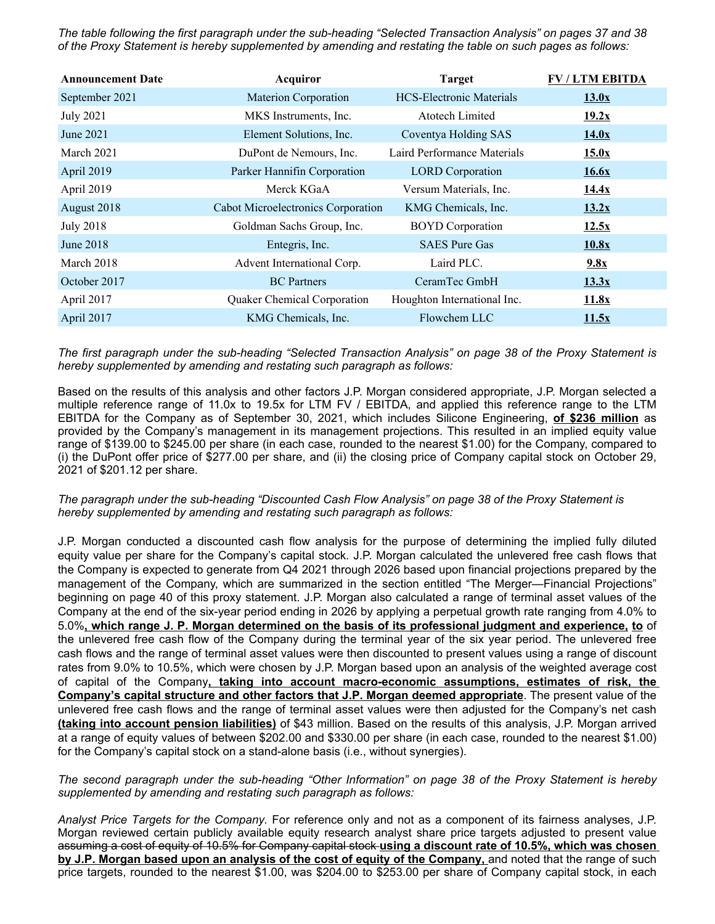*The table following the first paragraph under the sub-heading "Selected Transaction Analysis" on pages 37 and 38 of the Proxy Statement is hereby supplemented by amending and restating the table on such pages as follows:* 

| <b>Announcement Date</b> | Acquiror                           | <b>Target</b>                   | <b>FV / LTM EBITDA</b> |
|--------------------------|------------------------------------|---------------------------------|------------------------|
| September 2021           | <b>Materion Corporation</b>        | <b>HCS-Electronic Materials</b> | 13.0x                  |
| <b>July 2021</b>         | MKS Instruments, Inc.              | <b>Atotech Limited</b>          | 19.2x                  |
| June 2021                | Element Solutions, Inc.            | Coventya Holding SAS            | 14.0x                  |
| March 2021               | DuPont de Nemours, Inc.            | Laird Performance Materials     | 15.0x                  |
| April 2019               | Parker Hannifin Corporation        | <b>LORD</b> Corporation         | 16.6x                  |
| April 2019               | Merck KGaA                         | Versum Materials, Inc.          | 14.4x                  |
| August 2018              | Cabot Microelectronics Corporation | KMG Chemicals, Inc.             | 13.2x                  |
| <b>July 2018</b>         | Goldman Sachs Group, Inc.          | <b>BOYD</b> Corporation         | 12.5x                  |
| June $2018$              | Entegris, Inc.                     | <b>SAES</b> Pure Gas            | 10.8x                  |
| March 2018               | Advent International Corp.         | Laird PLC.                      | 9.8x                   |
| October 2017             | <b>BC</b> Partners                 | CeramTec GmbH                   | 13.3x                  |
| April 2017               | <b>Quaker Chemical Corporation</b> | Houghton International Inc.     | 11.8x                  |
| April 2017               | KMG Chemicals, Inc.                | Flowchem LLC                    | 11.5x                  |

*The first paragraph under the sub-heading "Selected Transaction Analysis" on page 38 of the Proxy Statement is hereby supplemented by amending and restating such paragraph as follows:*

Based on the results of this analysis and other factors J.P. Morgan considered appropriate, J.P. Morgan selected a multiple reference range of 11.0x to 19.5x for LTM FV / EBITDA, and applied this reference range to the LTM EBITDA for the Company as of September 30, 2021, which includes Silicone Engineering, **of \$236 million** as provided by the Company's management in its management projections. This resulted in an implied equity value range of \$139.00 to \$245.00 per share (in each case, rounded to the nearest \$1.00) for the Company, compared to (i) the DuPont offer price of \$277.00 per share, and (ii) the closing price of Company capital stock on October 29, 2021 of \$201.12 per share.

*The paragraph under the sub-heading "Discounted Cash Flow Analysis" on page 38 of the Proxy Statement is hereby supplemented by amending and restating such paragraph as follows:* 

J.P. Morgan conducted a discounted cash flow analysis for the purpose of determining the implied fully diluted equity value per share for the Company's capital stock. J.P. Morgan calculated the unlevered free cash flows that the Company is expected to generate from Q4 2021 through 2026 based upon financial projections prepared by the management of the Company, which are summarized in the section entitled "The Merger—Financial Projections" beginning on page 40 of this proxy statement. J.P. Morgan also calculated a range of terminal asset values of the Company at the end of the six-year period ending in 2026 by applying a perpetual growth rate ranging from 4.0% to 5.0%**, which range J. P. Morgan determined on the basis of its professional judgment and experience, to** of the unlevered free cash flow of the Company during the terminal year of the six year period. The unlevered free cash flows and the range of terminal asset values were then discounted to present values using a range of discount rates from 9.0% to 10.5%, which were chosen by J.P. Morgan based upon an analysis of the weighted average cost of capital of the Company**, taking into account macro-economic assumptions, estimates of risk, the Company's capital structure and other factors that J.P. Morgan deemed appropriate**. The present value of the unlevered free cash flows and the range of terminal asset values were then adjusted for the Company's net cash **(taking into account pension liabilities)** of \$43 million. Based on the results of this analysis, J.P. Morgan arrived at a range of equity values of between \$202.00 and \$330.00 per share (in each case, rounded to the nearest \$1.00) for the Company's capital stock on a stand-alone basis (i.e., without synergies).

*The second paragraph under the sub-heading "Other Information" on page 38 of the Proxy Statement is hereby supplemented by amending and restating such paragraph as follows:* 

*Analyst Price Targets for the Company.* For reference only and not as a component of its fairness analyses, J.P. Morgan reviewed certain publicly available equity research analyst share price targets adjusted to present value assuming a cost of equity of 10.5% for Company capital stock **using a discount rate of 10.5%, which was chosen by J.P. Morgan based upon an analysis of the cost of equity of the Company,** and noted that the range of such price targets, rounded to the nearest \$1.00, was \$204.00 to \$253.00 per share of Company capital stock, in each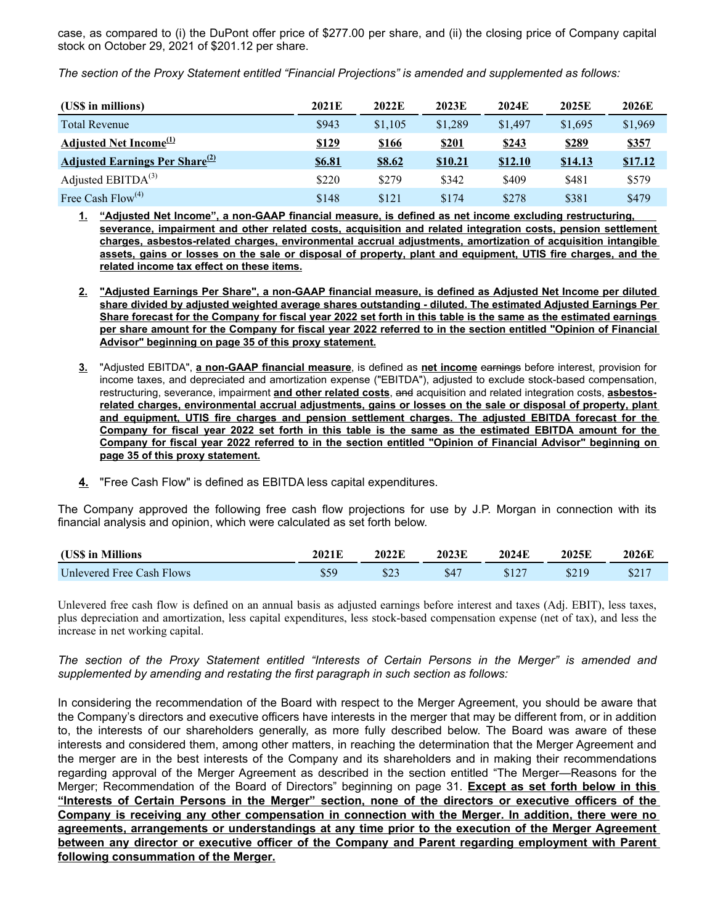case, as compared to (i) the DuPont offer price of \$277.00 per share, and (ii) the closing price of Company capital stock on October 29, 2021 of \$201.12 per share.

*The section of the Proxy Statement entitled "Financial Projections" is amended and supplemented as follows:*

| (US\$ in millions)                                | 2021E  | 2022E         | 2023E   | 2024E          | 2025E   | 2026E        |
|---------------------------------------------------|--------|---------------|---------|----------------|---------|--------------|
| <b>Total Revenue</b>                              | \$943  | \$1,105       | \$1,289 | \$1,497        | \$1,695 | \$1,969      |
| Adjusted Net Income <sup>(1)</sup>                | \$129  | <b>\$166</b>  | \$201   | <u>\$243</u>   | \$289   | <u>\$357</u> |
| <b>Adjusted Earnings Per Share</b> <sup>(2)</sup> | \$6.81 | <u>\$8.62</u> | \$10.21 | <b>\$12.10</b> | \$14.13 | \$17.12      |
| Adjusted $EBITDA(3)$                              | \$220  | \$279         | \$342   | \$409          | \$481   | \$579        |
| Free Cash Flow <sup>(4)</sup>                     | \$148  | \$121         | \$174   | \$278          | \$381   | \$479        |

**1. "Adjusted Net Income", a non-GAAP financial measure, is defined as net income excluding restructuring, severance, impairment and other related costs, acquisition and related integration costs, pension settlement charges, asbestos-related charges, environmental accrual adjustments, amortization of acquisition intangible assets, gains or losses on the sale or disposal of property, plant and equipment, UTIS fire charges, and the related income tax effect on these items.**

- **2. "Adjusted Earnings Per Share", a non-GAAP financial measure, is defined as Adjusted Net Income per diluted share divided by adjusted weighted average shares outstanding - diluted. The estimated Adjusted Earnings Per Share forecast for the Company for fiscal year 2022 set forth in this table is the same as the estimated earnings per share amount for the Company for fiscal year 2022 referred to in the section entitled "Opinion of Financial Advisor" beginning on page 35 of this proxy statement.**
- **3.** "Adjusted EBITDA", **a non-GAAP financial measure**, is defined as **net income** earnings before interest, provision for income taxes, and depreciated and amortization expense ("EBITDA"), adjusted to exclude stock-based compensation, restructuring, severance, impairment **and other related costs**, and acquisition and related integration costs, **asbestosrelated charges, environmental accrual adjustments, gains or losses on the sale or disposal of property, plant and equipment, UTIS fire charges and pension settlement charges. The adjusted EBITDA forecast for the Company for fiscal year 2022 set forth in this table is the same as the estimated EBITDA amount for the Company for fiscal year 2022 referred to in the section entitled "Opinion of Financial Advisor" beginning on page 35 of this proxy statement.**
- **4.** "Free Cash Flow" is defined as EBITDA less capital expenditures.

The Company approved the following free cash flow projections for use by J.P. Morgan in connection with its financial analysis and opinion, which were calculated as set forth below.

| (US\$ in Millions         | 2021E | 2022E   | 2023E | 2024E | 2025E | 2026E |
|---------------------------|-------|---------|-------|-------|-------|-------|
| Unlevered Free Cash Flows | \$59  | ت کا 10 | \$47  |       | \$219 | \$217 |

Unlevered free cash flow is defined on an annual basis as adjusted earnings before interest and taxes (Adj. EBIT), less taxes, plus depreciation and amortization, less capital expenditures, less stock-based compensation expense (net of tax), and less the increase in net working capital.

*The section of the Proxy Statement entitled "Interests of Certain Persons in the Merger" is amended and supplemented by amending and restating the first paragraph in such section as follows:*

In considering the recommendation of the Board with respect to the Merger Agreement, you should be aware that the Company's directors and executive officers have interests in the merger that may be different from, or in addition to, the interests of our shareholders generally, as more fully described below. The Board was aware of these interests and considered them, among other matters, in reaching the determination that the Merger Agreement and the merger are in the best interests of the Company and its shareholders and in making their recommendations regarding approval of the Merger Agreement as described in the section entitled "The Merger—Reasons for the Merger; Recommendation of the Board of Directors" beginning on page 31. **Except as set forth below in this "Interests of Certain Persons in the Merger" section, none of the directors or executive officers of the Company is receiving any other compensation in connection with the Merger. In addition, there were no agreements, arrangements or understandings at any time prior to the execution of the Merger Agreement between any director or executive officer of the Company and Parent regarding employment with Parent following consummation of the Merger.**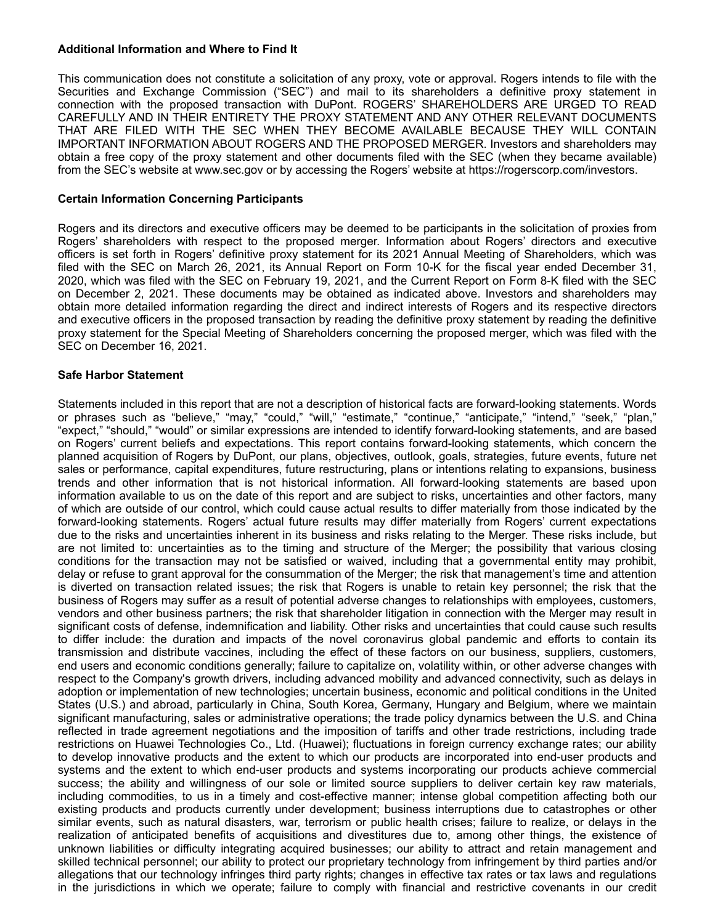#### **Additional Information and Where to Find It**

This communication does not constitute a solicitation of any proxy, vote or approval. Rogers intends to file with the Securities and Exchange Commission ("SEC") and mail to its shareholders a definitive proxy statement in connection with the proposed transaction with DuPont. ROGERS' SHAREHOLDERS ARE URGED TO READ CAREFULLY AND IN THEIR ENTIRETY THE PROXY STATEMENT AND ANY OTHER RELEVANT DOCUMENTS THAT ARE FILED WITH THE SEC WHEN THEY BECOME AVAILABLE BECAUSE THEY WILL CONTAIN IMPORTANT INFORMATION ABOUT ROGERS AND THE PROPOSED MERGER. Investors and shareholders may obtain a free copy of the proxy statement and other documents filed with the SEC (when they became available) from the SEC's website at www.sec.gov or by accessing the Rogers' website at https://rogerscorp.com/investors.

#### **Certain Information Concerning Participants**

Rogers and its directors and executive officers may be deemed to be participants in the solicitation of proxies from Rogers' shareholders with respect to the proposed merger. Information about Rogers' directors and executive officers is set forth in Rogers' definitive proxy statement for its 2021 Annual Meeting of Shareholders, which was filed with the SEC on March 26, 2021, its Annual Report on Form 10-K for the fiscal year ended December 31, 2020, which was filed with the SEC on February 19, 2021, and the Current Report on Form 8-K filed with the SEC on December 2, 2021. These documents may be obtained as indicated above. Investors and shareholders may obtain more detailed information regarding the direct and indirect interests of Rogers and its respective directors and executive officers in the proposed transaction by reading the definitive proxy statement by reading the definitive proxy statement for the Special Meeting of Shareholders concerning the proposed merger, which was filed with the SEC on December 16, 2021.

#### **Safe Harbor Statement**

Statements included in this report that are not a description of historical facts are forward-looking statements. Words or phrases such as "believe," "may," "could," "will," "estimate," "continue," "anticipate," "intend," "seek," "plan," "expect," "should," "would" or similar expressions are intended to identify forward-looking statements, and are based on Rogers' current beliefs and expectations. This report contains forward-looking statements, which concern the planned acquisition of Rogers by DuPont, our plans, objectives, outlook, goals, strategies, future events, future net sales or performance, capital expenditures, future restructuring, plans or intentions relating to expansions, business trends and other information that is not historical information. All forward-looking statements are based upon information available to us on the date of this report and are subject to risks, uncertainties and other factors, many of which are outside of our control, which could cause actual results to differ materially from those indicated by the forward-looking statements. Rogers' actual future results may differ materially from Rogers' current expectations due to the risks and uncertainties inherent in its business and risks relating to the Merger. These risks include, but are not limited to: uncertainties as to the timing and structure of the Merger; the possibility that various closing conditions for the transaction may not be satisfied or waived, including that a governmental entity may prohibit, delay or refuse to grant approval for the consummation of the Merger; the risk that management's time and attention is diverted on transaction related issues; the risk that Rogers is unable to retain key personnel; the risk that the business of Rogers may suffer as a result of potential adverse changes to relationships with employees, customers, vendors and other business partners; the risk that shareholder litigation in connection with the Merger may result in significant costs of defense, indemnification and liability. Other risks and uncertainties that could cause such results to differ include: the duration and impacts of the novel coronavirus global pandemic and efforts to contain its transmission and distribute vaccines, including the effect of these factors on our business, suppliers, customers, end users and economic conditions generally; failure to capitalize on, volatility within, or other adverse changes with respect to the Company's growth drivers, including advanced mobility and advanced connectivity, such as delays in adoption or implementation of new technologies; uncertain business, economic and political conditions in the United States (U.S.) and abroad, particularly in China, South Korea, Germany, Hungary and Belgium, where we maintain significant manufacturing, sales or administrative operations; the trade policy dynamics between the U.S. and China reflected in trade agreement negotiations and the imposition of tariffs and other trade restrictions, including trade restrictions on Huawei Technologies Co., Ltd. (Huawei); fluctuations in foreign currency exchange rates; our ability to develop innovative products and the extent to which our products are incorporated into end-user products and systems and the extent to which end-user products and systems incorporating our products achieve commercial success; the ability and willingness of our sole or limited source suppliers to deliver certain key raw materials, including commodities, to us in a timely and cost-effective manner; intense global competition affecting both our existing products and products currently under development; business interruptions due to catastrophes or other similar events, such as natural disasters, war, terrorism or public health crises; failure to realize, or delays in the realization of anticipated benefits of acquisitions and divestitures due to, among other things, the existence of unknown liabilities or difficulty integrating acquired businesses; our ability to attract and retain management and skilled technical personnel; our ability to protect our proprietary technology from infringement by third parties and/or allegations that our technology infringes third party rights; changes in effective tax rates or tax laws and regulations in the jurisdictions in which we operate; failure to comply with financial and restrictive covenants in our credit